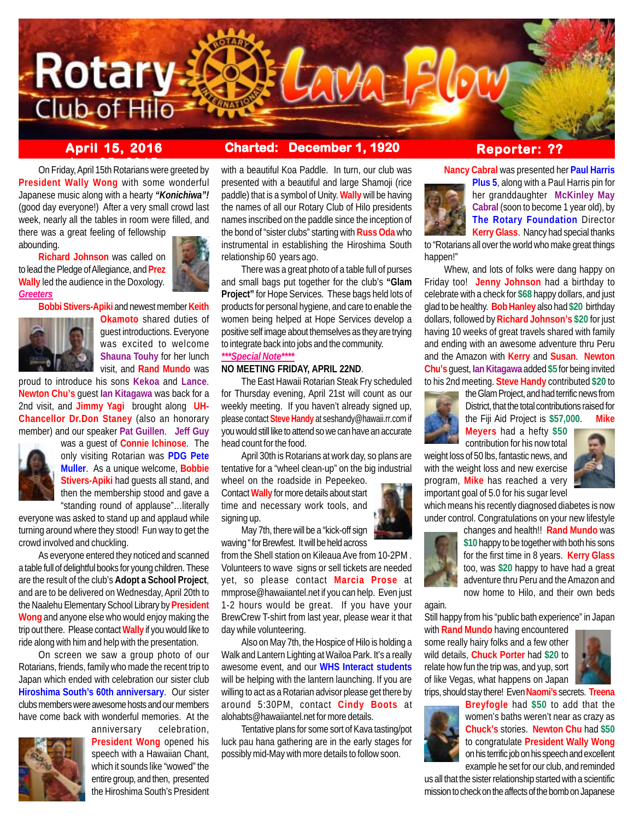

# **April 15, 2016 Charted: December 1, 1920**

**ber 25, 2015** On Friday, April 15th Rotarians were greeted by **President Wally Wong** with some wonderful Japanese music along with a hearty *"Konichiwa"!* (good day everyone!) After a very small crowd last week, nearly all the tables in room were filled, and

there was a great feeling of fellowship abounding.

**Richard Johnson** was called on to lead the Pledge of Allegiance, and **Prez Wally** led the audience in the Doxology. *Greeters*



**Bobbi Stivers-Apiki** and newest member **Keith**



**Okamoto** shared duties of guest introductions. Everyone was excited to welcome **Shauna Touhy** for her lunch visit, and **Rand Mundo** was

proud to introduce his sons **Kekoa** and **Lance**. **Newton Chu's** guest **Ian Kitagawa** was back for a 2nd visit, and **Jimmy Yagi** brought along **UH-Chancellor Dr.Don Staney** (also an honorary member) and our speaker **Pat Guillen**. **Jeff Guy**



was a guest of **Connie Ichinose**. The only visiting Rotarian was **PDG Pete Muller**. As a unique welcome, **Bobbie Stivers-Apiki** had guests all stand, and then the membership stood and gave a "standing round of applause"…literally

everyone was asked to stand up and applaud while turning around where they stood! Fun way to get the crowd involved and chuckling.

As everyone entered they noticed and scanned a table full of delightful books for young children. These are the result of the club's **Adopt a School Project**, and are to be delivered on Wednesday, April 20th to the Naalehu Elementary School Library by **President Wong** and anyone else who would enjoy making the trip out there. Please contact **Wally** if you would like to ride along with him and help with the presentation.

On screen we saw a group photo of our Rotarians, friends, family who made the recent trip to Japan which ended with celebration our sister club **Hiroshima South's 60th anniversary**. Our sister clubs members were awesome hosts and our members have come back with wonderful memories. At the



anniversary celebration, **President Wong** opened his speech with a Hawaiian Chant, which it sounds like "wowed" the entire group, and then, presented the Hiroshima South's President

with a beautiful Koa Paddle. In turn, our club was presented with a beautiful and large Shamoji (rice paddle) that is a symbol of Unity. **Wally** will be having the names of all our Rotary Club of Hilo presidents names inscribed on the paddle since the inception of the bond of "sister clubs" starting with **Russ Oda** who instrumental in establishing the Hiroshima South relationship 60 years ago.

There was a great photo of a table full of purses and small bags put together for the club's **"Glam Project"** for Hope Services. These bags held lots of products for personal hygiene, and care to enable the women being helped at Hope Services develop a positive self image about themselves as they are trying to integrate back into jobs and the community. *\*\*\*Special Note\*\*\*\**

## **NO MEETING FRIDAY, APRIL 22ND**.

The East Hawaii Rotarian Steak Fry scheduled for Thursday evening, April 21st will count as our weekly meeting. If you haven't already signed up, please contact **Steve Handy** at seshandy@hawaii.rr.com if you would still like to attend so we can have an accurate head count for the food.

April 30th is Rotarians at work day, so plans are tentative for a "wheel clean-up" on the big industrial wheel on the roadside in Pepeekeo.

Contact **Wally** for more details about start time and necessary work tools, and signing up.

May 7th, there will be a "kick-off sign waving " for Brewfest. It will be held across

from the Shell station on Kileaua Ave from 10-2PM . Volunteers to wave signs or sell tickets are needed yet, so please contact **Marcia Prose** at mmprose@hawaiiantel.net if you can help. Even just 1-2 hours would be great. If you have your BrewCrew T-shirt from last year, please wear it that day while volunteering.

Also on May 7th, the Hospice of Hilo is holding a Walk and Lantern Lighting at Wailoa Park. It's a really awesome event, and our **WHS Interact students** will be helping with the lantern launching. If you are willing to act as a Rotarian advisor please get there by around 5:30PM, contact **Cindy Boots** at alohabts@hawaiiantel.net for more details.

Tentative plans for some sort of Kava tasting/pot luck pau hana gathering are in the early stages for possibly mid-May with more details to follow soon.

# **Reporter: ??**

**Nancy Cabral** was presented her **Paul Harris**



**Plus 5**, along with a Paul Harris pin for her granddaughter **McKinley May Cabral** (soon to become 1 year old), by **The Rotary Foundation** Director **Kerry Glass**. Nancy had special thanks

to "Rotarians all over the world who make great things happen!"

Whew, and lots of folks were dang happy on Friday too! **Jenny Johnson** had a birthday to celebrate with a check for **\$68** happy dollars, and just glad to be healthy. **Bob Hanley** also had **\$20** birthday dollars, followed by **Richard Johnson's \$20** for just having 10 weeks of great travels shared with family and ending with an awesome adventure thru Peru and the Amazon with **Kerry** and **Susan**. **Newton Chu's** guest, **Ian Kitagawa** added **\$5** for being invited to his 2nd meeting. **Steve Handy** contributed **\$20** to



the Glam Project, and had terrific news from District, that the total contributions raised for the Fiji Aid Project is **\$57,000**. **Mike**

contribution for his now total weight loss of 50 lbs, fantastic news, and with the weight loss and new exercise program, **Mike** has reached a very important goal of 5.0 for his sugar level



which means his recently diagnosed diabetes is now under control. Congratulations on your new lifestyle

**Meyers** had a hefty **\$50**



changes and health!! **Rand Mundo** was **\$10** happy to be together with both his sons for the first time in 8 years. **Kerry Glass** too, was **\$20** happy to have had a great adventure thru Peru and the Amazon and now home to Hilo, and their own beds

again.

Still happy from his "public bath experience" in Japan

with **Rand Mundo** having encountered some really hairy folks and a few other wild details, **Chuck Porter** had **\$20** to relate how fun the trip was, and yup, sort of like Vegas, what happens on Japan



trips, should stay there! Even **Naomi's** secrets. **Treena**



**Breyfogle** had **\$50** to add that the women's baths weren't near as crazy as **Chuck's** stories. **Newton Chu** had **\$50** to congratulate **President Wally Wong** on his terrific job on his speech and excellent example he set for our club, and reminded

us all that the sister relationship started with a scientific mission to check on the affects of the bomb on Japanese